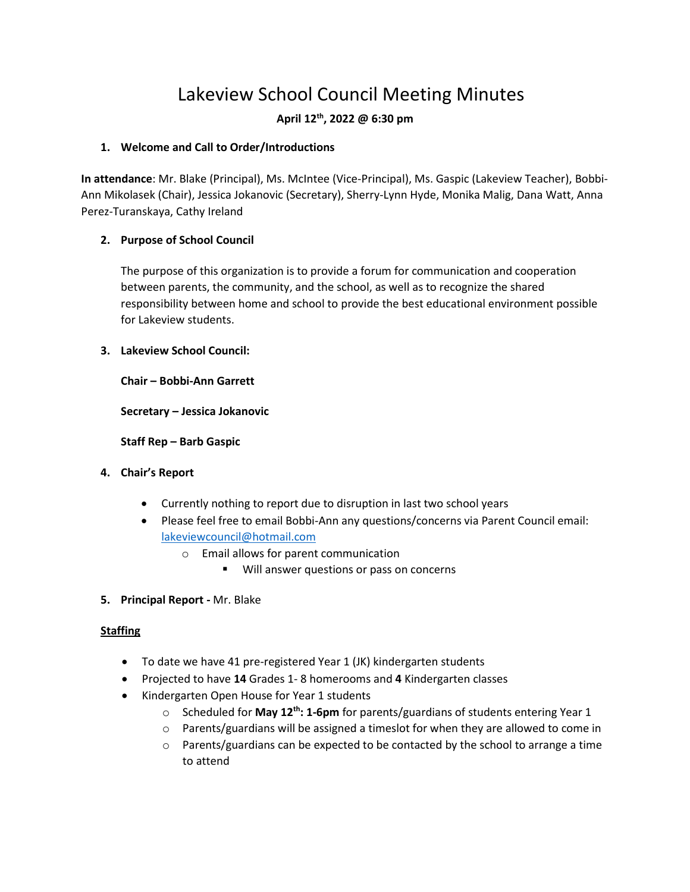# Lakeview School Council Meeting Minutes

# **April 12th, 2022 @ 6:30 pm**

#### **1. Welcome and Call to Order/Introductions**

**In attendance**: Mr. Blake (Principal), Ms. McIntee (Vice-Principal), Ms. Gaspic (Lakeview Teacher), Bobbi-Ann Mikolasek (Chair), Jessica Jokanovic (Secretary), Sherry-Lynn Hyde, Monika Malig, Dana Watt, Anna Perez-Turanskaya, Cathy Ireland

# **2. Purpose of School Council**

The purpose of this organization is to provide a forum for communication and cooperation between parents, the community, and the school, as well as to recognize the shared responsibility between home and school to provide the best educational environment possible for Lakeview students.

#### **3. Lakeview School Council:**

**Chair – Bobbi-Ann Garrett**

**Secretary – Jessica Jokanovic**

**Staff Rep – Barb Gaspic**

- **4. Chair's Report**
	- Currently nothing to report due to disruption in last two school years
	- Please feel free to email Bobbi-Ann any questions/concerns via Parent Council email: [lakeviewcouncil@hotmail.com](mailto:lakeviewcouncil@hotmail.com)
		- o Email allows for parent communication
			- Will answer questions or pass on concerns
- **5. Principal Report -** Mr. Blake

# **Staffing**

- To date we have 41 pre-registered Year 1 (JK) kindergarten students
- Projected to have **14** Grades 1- 8 homerooms and **4** Kindergarten classes
- Kindergarten Open House for Year 1 students
	- o Scheduled for **May 12th: 1-6pm** for parents/guardians of students entering Year 1
	- $\circ$  Parents/guardians will be assigned a timeslot for when they are allowed to come in
	- $\circ$  Parents/guardians can be expected to be contacted by the school to arrange a time to attend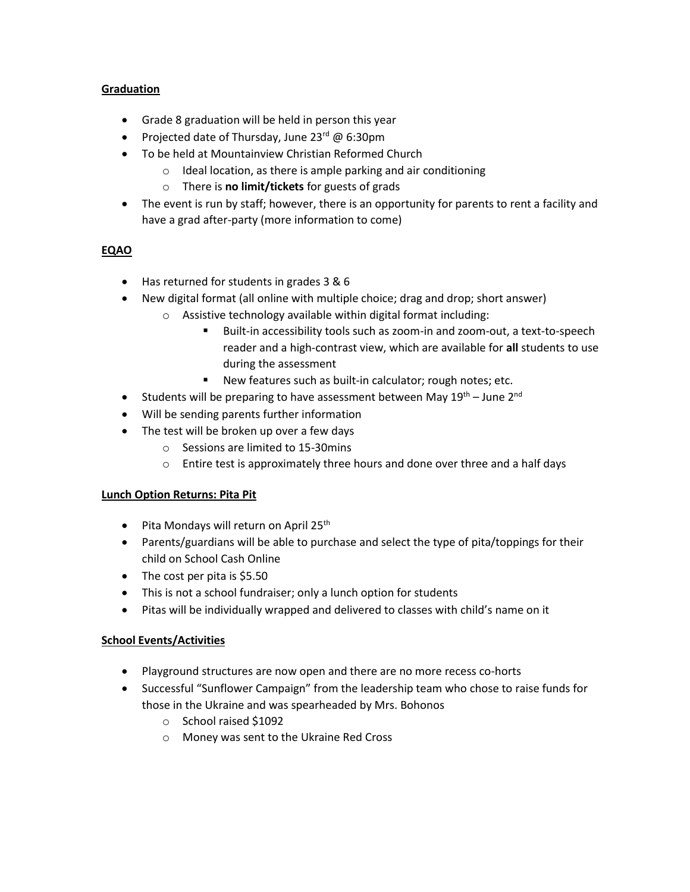### **Graduation**

- Grade 8 graduation will be held in person this year
- Projected date of Thursday, June  $23^{rd}$  @ 6:30pm
- To be held at Mountainview Christian Reformed Church
	- o Ideal location, as there is ample parking and air conditioning
	- o There is **no limit/tickets** for guests of grads
- The event is run by staff; however, there is an opportunity for parents to rent a facility and have a grad after-party (more information to come)

# **EQAO**

- Has returned for students in grades 3 & 6
- New digital format (all online with multiple choice; drag and drop; short answer)
	- o Assistive technology available within digital format including:
		- Built-in accessibility tools such as zoom-in and zoom-out, a text-to-speech reader and a high-contrast view, which are available for **all** students to use during the assessment
		- New features such as built-in calculator; rough notes; etc.
- Students will be preparing to have assessment between May  $19^{th}$  June 2<sup>nd</sup>
- Will be sending parents further information
- The test will be broken up over a few days
	- o Sessions are limited to 15-30mins
	- o Entire test is approximately three hours and done over three and a half days

#### **Lunch Option Returns: Pita Pit**

- Pita Mondays will return on April 25<sup>th</sup>
- Parents/guardians will be able to purchase and select the type of pita/toppings for their child on School Cash Online
- The cost per pita is \$5.50
- This is not a school fundraiser; only a lunch option for students
- Pitas will be individually wrapped and delivered to classes with child's name on it

#### **School Events/Activities**

- Playground structures are now open and there are no more recess co-horts
- Successful "Sunflower Campaign" from the leadership team who chose to raise funds for those in the Ukraine and was spearheaded by Mrs. Bohonos
	- o School raised \$1092
	- o Money was sent to the Ukraine Red Cross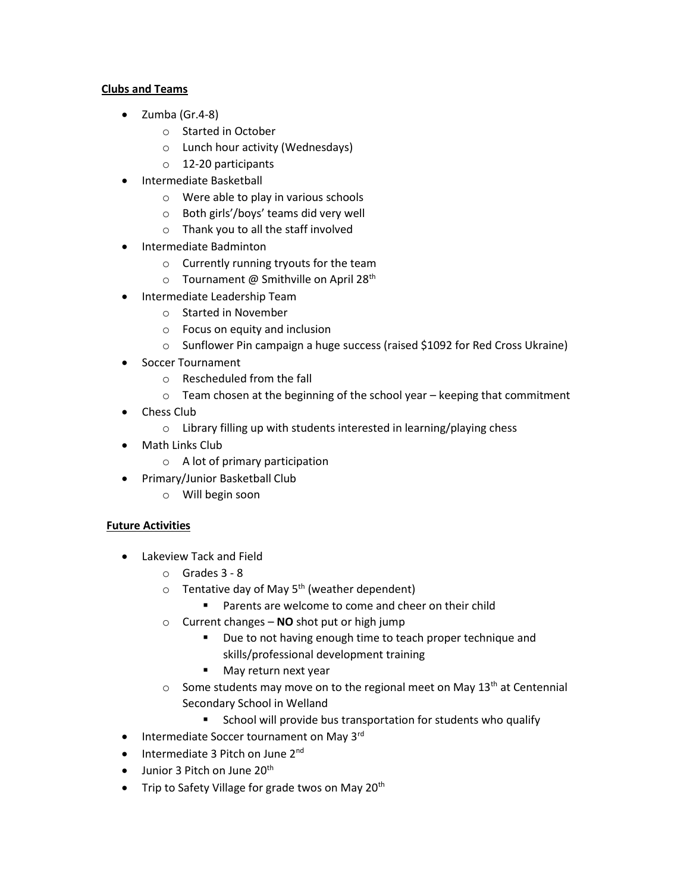### **Clubs and Teams**

- Zumba (Gr.4-8)
	- o Started in October
	- o Lunch hour activity (Wednesdays)
	- o 12-20 participants
- Intermediate Basketball
	- o Were able to play in various schools
	- o Both girls'/boys' teams did very well
	- o Thank you to all the staff involved
- Intermediate Badminton
	- o Currently running tryouts for the team
	- $\circ$  Tournament @ Smithville on April 28<sup>th</sup>
- Intermediate Leadership Team
	- o Started in November
	- o Focus on equity and inclusion
	- o Sunflower Pin campaign a huge success (raised \$1092 for Red Cross Ukraine)
- Soccer Tournament
	- o Rescheduled from the fall
	- o Team chosen at the beginning of the school year keeping that commitment
- Chess Club
	- o Library filling up with students interested in learning/playing chess
- Math Links Club
	- o A lot of primary participation
- Primary/Junior Basketball Club
	- o Will begin soon

# **Future Activities**

- Lakeview Tack and Field
	- o Grades 3 8
	- $\circ$  Tentative day of May 5<sup>th</sup> (weather dependent)
		- Parents are welcome to come and cheer on their child
	- o Current changes **NO** shot put or high jump
		- Due to not having enough time to teach proper technique and skills/professional development training
		- May return next year
	- $\circ$  Some students may move on to the regional meet on May 13<sup>th</sup> at Centennial Secondary School in Welland
		- School will provide bus transportation for students who qualify
- Intermediate Soccer tournament on May 3rd
- Intermediate 3 Pitch on June 2<sup>nd</sup>
- Junior 3 Pitch on June  $20<sup>th</sup>$
- Trip to Safety Village for grade twos on May  $20<sup>th</sup>$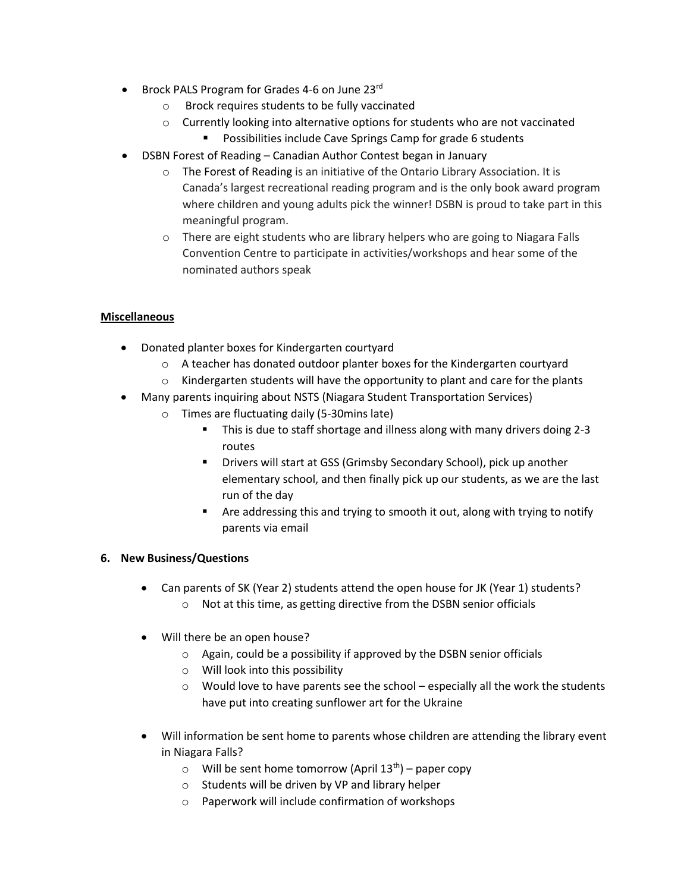- Brock PALS Program for Grades 4-6 on June 23rd
	- o Brock requires students to be fully vaccinated
	- $\circ$  Currently looking into alternative options for students who are not vaccinated
		- Possibilities include Cave Springs Camp for grade 6 students
- DSBN Forest of Reading Canadian Author Contest began in January
	- o The [Forest of Reading](https://www.google.com/url?q=https%3A%2F%2Fforestofreading.com%2F&sa=D&sntz=1&usg=AFQjCNEPw2rWua0u1Ygs2H_ou9YgRlexvg) is an initiative of the Ontario Library Association. It is Canada's largest recreational reading program and is the only book award program where children and young adults pick the winner! DSBN is proud to take part in this meaningful program.
	- o There are eight students who are library helpers who are going to Niagara Falls Convention Centre to participate in activities/workshops and hear some of the nominated authors speak

# **Miscellaneous**

- Donated planter boxes for Kindergarten courtyard
	- o A teacher has donated outdoor planter boxes for the Kindergarten courtyard
	- $\circ$  Kindergarten students will have the opportunity to plant and care for the plants
- Many parents inquiring about NSTS (Niagara Student Transportation Services)
	- o Times are fluctuating daily (5-30mins late)
		- This is due to staff shortage and illness along with many drivers doing 2-3 routes
		- Drivers will start at GSS (Grimsby Secondary School), pick up another elementary school, and then finally pick up our students, as we are the last run of the day
		- Are addressing this and trying to smooth it out, along with trying to notify parents via email

#### **6. New Business/Questions**

- Can parents of SK (Year 2) students attend the open house for JK (Year 1) students?
	- o Not at this time, as getting directive from the DSBN senior officials
- Will there be an open house?
	- o Again, could be a possibility if approved by the DSBN senior officials
	- o Will look into this possibility
	- $\circ$  Would love to have parents see the school especially all the work the students have put into creating sunflower art for the Ukraine
- Will information be sent home to parents whose children are attending the library event in Niagara Falls?
	- $\circ$  Will be sent home tomorrow (April 13<sup>th</sup>) paper copy
	- o Students will be driven by VP and library helper
	- o Paperwork will include confirmation of workshops